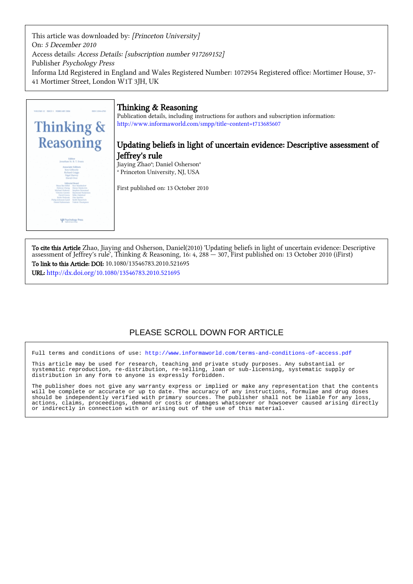This article was downloaded by: [Princeton University] On: 5 December 2010 Access details: Access Details: [subscription number 917269152] Publisher Psychology Press Informa Ltd Registered in England and Wales Registered Number: 1072954 Registered office: Mortimer House, 37- 41 Mortimer Street, London W1T 3JH, UK



# Thinking & Reasoning

Publication details, including instructions for authors and subscription information: <http://www.informaworld.com/smpp/title~content=t713685607>

# Updating beliefs in light of uncertain evidence: Descriptive assessment of Jeffrey's rule

Jiaying Zhao<sup>a</sup>; Daniel Osherson<sup>a</sup> a Princeton University, NJ, USA

First published on: 13 October 2010

To cite this Article Zhao, Jiaying and Osherson, Daniel(2010) 'Updating beliefs in light of uncertain evidence: Descriptive assessment of Jeffrey's rule', Thinking & Reasoning, 16: 4, 288 — 307, First published on: 13 October 2010 (iFirst) To link to this Article: DOI: 10.1080/13546783.2010.521695 URL: <http://dx.doi.org/10.1080/13546783.2010.521695>

# PLEASE SCROLL DOWN FOR ARTICLE

Full terms and conditions of use:<http://www.informaworld.com/terms-and-conditions-of-access.pdf>

This article may be used for research, teaching and private study purposes. Any substantial or systematic reproduction, re-distribution, re-selling, loan or sub-licensing, systematic supply or distribution in any form to anyone is expressly forbidden.

The publisher does not give any warranty express or implied or make any representation that the contents will be complete or accurate or up to date. The accuracy of any instructions, formulae and drug doses should be independently verified with primary sources. The publisher shall not be liable for any loss, actions, claims, proceedings, demand or costs or damages whatsoever or howsoever caused arising directly or indirectly in connection with or arising out of the use of this material.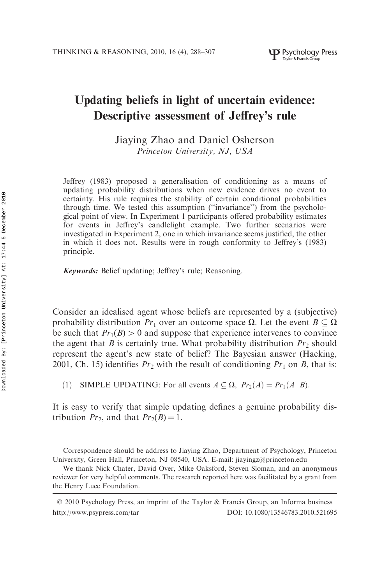# Updating beliefs in light of uncertain evidence: Descriptive assessment of Jeffrey's rule

Jiaying Zhao and Daniel Osherson Princeton University, NJ, USA

Jeffrey (1983) proposed a generalisation of conditioning as a means of updating probability distributions when new evidence drives no event to certainty. His rule requires the stability of certain conditional probabilities through time. We tested this assumption (''invariance'') from the psychological point of view. In Experiment 1 participants offered probability estimates for events in Jeffrey's candlelight example. Two further scenarios were investigated in Experiment 2, one in which invariance seems justified, the other in which it does not. Results were in rough conformity to Jeffrey's (1983) principle.

Keywords: Belief updating; Jeffrey's rule; Reasoning.

Consider an idealised agent whose beliefs are represented by a (subjective) probability distribution  $Pr_1$  over an outcome space  $\Omega$ . Let the event  $B \subseteq \Omega$ be such that  $Pr_1(B) > 0$  and suppose that experience intervenes to convince the agent that B is certainly true. What probability distribution  $Pr_2$  should represent the agent's new state of belief? The Bayesian answer (Hacking, 2001, Ch. 15) identifies  $Pr_2$  with the result of conditioning  $Pr_1$  on B, that is:

(1) SIMPLE UPDATING: For all events  $A \subseteq \Omega$ ,  $Pr_2(A) = Pr_1(A | B)$ .

It is easy to verify that simple updating defines a genuine probability distribution  $Pr_2$ , and that  $Pr_2(B) = 1$ .

Correspondence should be address to Jiaying Zhao, Department of Psychology, Princeton University, Green Hall, Princeton, NJ 08540, USA. E-mail: jiayingz@princeton.edu

We thank Nick Chater, David Over, Mike Oaksford, Steven Sloman, and an anonymous reviewer for very helpful comments. The research reported here was facilitated by a grant from the Henry Luce Foundation.

<sup>© 2010</sup> Psychology Press, an imprint of the Taylor & Francis Group, an Informa business http://www.psypress.com/tar DOI: 10.1080/13546783.2010.521695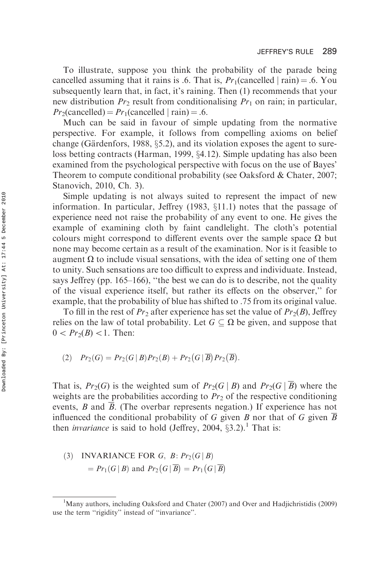To illustrate, suppose you think the probability of the parade being cancelled assuming that it rains is .6. That is,  $Pr_1$ (cancelled | rain) = .6. You subsequently learn that, in fact, it's raining. Then (1) recommends that your new distribution  $Pr_2$  result from conditionalising  $Pr_1$  on rain; in particular,  $Pr_2$ (cancelled) =  $Pr_1$ (cancelled | rain) = .6.

Much can be said in favour of simple updating from the normative perspective. For example, it follows from compelling axioms on belief change (Gärdenfors, 1988,  $\S$ 5.2), and its violation exposes the agent to sureloss betting contracts (Harman, 1999,  $\S 4.12$ ). Simple updating has also been examined from the psychological perspective with focus on the use of Bayes' Theorem to compute conditional probability (see Oaksford & Chater, 2007; Stanovich, 2010, Ch. 3).

Simple updating is not always suited to represent the impact of new information. In particular, Jeffrey  $(1983, \S11.1)$  notes that the passage of experience need not raise the probability of any event to one. He gives the example of examining cloth by faint candlelight. The cloth's potential colours might correspond to different events over the sample space  $\Omega$  but none may become certain as a result of the examination. Nor is it feasible to augment  $\Omega$  to include visual sensations, with the idea of setting one of them to unity. Such sensations are too difficult to express and individuate. Instead, says Jeffrey (pp. 165–166), ''the best we can do is to describe, not the quality of the visual experience itself, but rather its effects on the observer,'' for example, that the probability of blue has shifted to .75 from its original value.

To fill in the rest of  $Pr_2$  after experience has set the value of  $Pr_2(B)$ , Jeffrey relies on the law of total probability. Let  $G \subseteq \Omega$  be given, and suppose that  $0 < Pr_2(B) < 1$ . Then:

$$
(2) \quad Pr_2(G) = Pr_2(G | B) Pr_2(B) + Pr_2(G | \overline{B}) Pr_2(\overline{B}).
$$

That is,  $Pr_2(G)$  is the weighted sum of  $Pr_2(G | B)$  and  $Pr_2(G | \overline{B})$  where the weights are the probabilities according to  $Pr<sub>2</sub>$  of the respective conditioning events, B and B. (The overbar represents negation.) If experience has not influenced the conditional probability of G given B nor that of G given  $\overline{B}$ then *invariance* is said to hold (Jeffrey, 2004,  $\S 3.2$ ).<sup>1</sup> That is:

# (3) INVARIANCE FOR G,  $B: Pr_2(G | B)$  $= Pr_1(G | B)$  and  $Pr_2(G | \overline{B}) = Pr_1(G | \overline{B})$

<sup>&</sup>lt;sup>1</sup>Many authors, including Oaksford and Chater (2007) and Over and Hadjichristidis (2009) use the term ''rigidity'' instead of ''invariance''.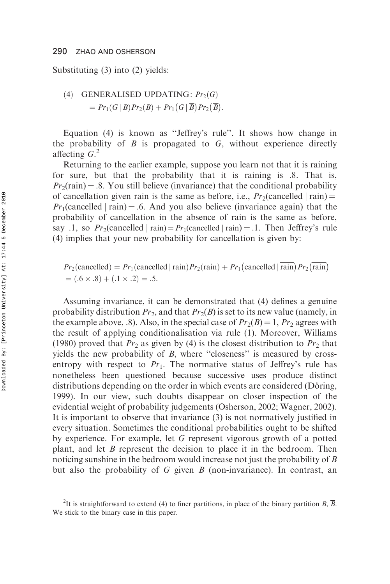Substituting (3) into (2) yields:

(4) GENERALISED UPDATING: 
$$
Pr_2(G)
$$
  
=  $Pr_1(G|B)Pr_2(B) + Pr_1(G|\overline{B})Pr_2(\overline{B})$ .

Equation (4) is known as ''Jeffrey's rule''. It shows how change in the probability of  $B$  is propagated to  $G$ , without experience directly affecting  $G<sup>2</sup>$ 

Returning to the earlier example, suppose you learn not that it is raining for sure, but that the probability that it is raining is .8. That is,  $Pr<sub>2</sub>(rain) = .8$ . You still believe (invariance) that the conditional probability of cancellation given rain is the same as before, i.e.,  $Pr_2$ (cancelled | rain) =  $Pr_1$ (cancelled | rain) = .6. And you also believe (invariance again) that the probability of cancellation in the absence of rain is the same as before, say .1, so  $Pr_2$ (cancelled | rain) =  $Pr_1$ (cancelled | rain) = .1. Then Jeffrey's rule (4) implies that your new probability for cancellation is given by:

$$
Pr_2(\text{cancelled}) = Pr_1(\text{cancelled} \mid \text{rain}) Pr_2(\text{rain}) + Pr_1(\text{cancelled} \mid \text{rain}) Pr_2(\text{rain})
$$
  
= (.6 × .8) + (.1 × .2) = .5.

Assuming invariance, it can be demonstrated that (4) defines a genuine probability distribution  $Pr_2$ , and that  $Pr_2(B)$  is set to its new value (namely, in the example above, .8). Also, in the special case of  $Pr_2(B) = 1$ ,  $Pr_2$  agrees with the result of applying conditionalisation via rule (1). Moreover, Williams (1980) proved that  $Pr_2$  as given by (4) is the closest distribution to  $Pr_2$  that yields the new probability of  $B$ , where "closeness" is measured by crossentropy with respect to  $Pr_1$ . The normative status of Jeffrey's rule has nonetheless been questioned because successive uses produce distinct distributions depending on the order in which events are considered (Döring, 1999). In our view, such doubts disappear on closer inspection of the evidential weight of probability judgements (Osherson, 2002; Wagner, 2002). It is important to observe that invariance (3) is not normatively justified in every situation. Sometimes the conditional probabilities ought to be shifted by experience. For example, let G represent vigorous growth of a potted plant, and let  $B$  represent the decision to place it in the bedroom. Then noticing sunshine in the bedroom would increase not just the probability of B but also the probability of G given  $B$  (non-invariance). In contrast, an

<sup>&</sup>lt;sup>2</sup>It is straightforward to extend (4) to finer partitions, in place of the binary partition B,  $\overline{B}$ . We stick to the binary case in this paper.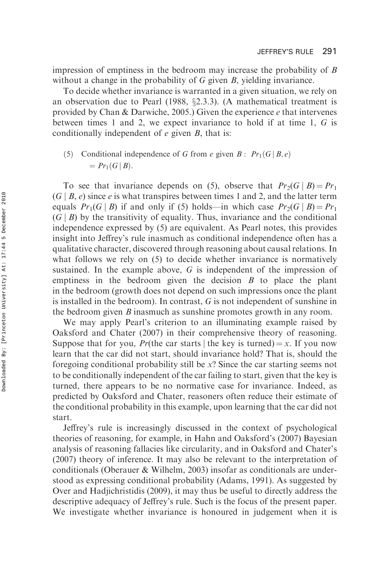impression of emptiness in the bedroom may increase the probability of B without a change in the probability of G given B, yielding invariance.

To decide whether invariance is warranted in a given situation, we rely on an observation due to Pearl (1988,  $\S2.3.3$ ). (A mathematical treatment is provided by Chan & Darwiche, 2005.) Given the experience e that intervenes between times 1 and 2, we expect invariance to hold if at time 1, G is conditionally independent of  $e$  given  $B$ , that is:

(5) Conditional independence of G from e given B :  $Pr_1(G | B, e)$  $= Pr_1(G | B).$ 

To see that invariance depends on (5), observe that  $Pr_2(G \mid B) = Pr_1$  $(G | B, e)$  since e is what transpires between times 1 and 2, and the latter term equals  $Pr_1(G | B)$  if and only if (5) holds—in which case  $Pr_2(G | B) = Pr_1$  $(G | B)$  by the transitivity of equality. Thus, invariance and the conditional independence expressed by (5) are equivalent. As Pearl notes, this provides insight into Jeffrey's rule inasmuch as conditional independence often has a qualitative character, discovered through reasoning about causal relations. In what follows we rely on (5) to decide whether invariance is normatively sustained. In the example above, G is independent of the impression of emptiness in the bedroom given the decision  $B$  to place the plant in the bedroom (growth does not depend on such impressions once the plant is installed in the bedroom). In contrast, G is not independent of sunshine in the bedroom given B inasmuch as sunshine promotes growth in any room.

We may apply Pearl's criterion to an illuminating example raised by Oaksford and Chater (2007) in their comprehensive theory of reasoning. Suppose that for you, Pr(the car starts | the key is turned) = x. If you now learn that the car did not start, should invariance hold? That is, should the foregoing conditional probability still be x? Since the car starting seems not to be conditionally independent of the car failing to start, given that the key is turned, there appears to be no normative case for invariance. Indeed, as predicted by Oaksford and Chater, reasoners often reduce their estimate of the conditional probability in this example, upon learning that the car did not start.

Jeffrey's rule is increasingly discussed in the context of psychological theories of reasoning, for example, in Hahn and Oaksford's (2007) Bayesian analysis of reasoning fallacies like circularity, and in Oaksford and Chater's (2007) theory of inference. It may also be relevant to the interpretation of conditionals (Oberauer & Wilhelm, 2003) insofar as conditionals are understood as expressing conditional probability (Adams, 1991). As suggested by Over and Hadjichristidis (2009), it may thus be useful to directly address the descriptive adequacy of Jeffrey's rule. Such is the focus of the present paper. We investigate whether invariance is honoured in judgement when it is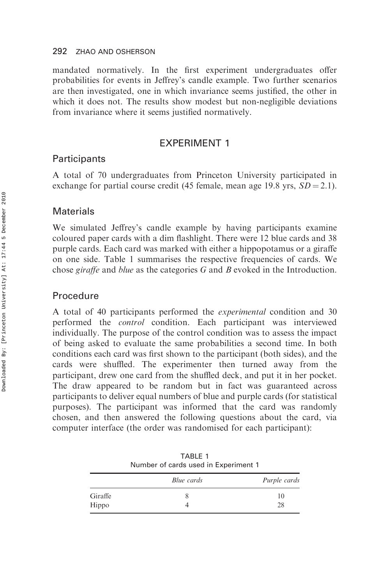mandated normatively. In the first experiment undergraduates offer probabilities for events in Jeffrey's candle example. Two further scenarios are then investigated, one in which invariance seems justified, the other in which it does not. The results show modest but non-negligible deviations from invariance where it seems justified normatively.

# EXPERIMENT 1

## **Participants**

A total of 70 undergraduates from Princeton University participated in exchange for partial course credit (45 female, mean age 19.8 yrs,  $SD = 2.1$ ).

## Materials

We simulated Jeffrey's candle example by having participants examine coloured paper cards with a dim flashlight. There were 12 blue cards and 38 purple cards. Each card was marked with either a hippopotamus or a giraffe on one side. Table 1 summarises the respective frequencies of cards. We chose giraffe and blue as the categories G and B evoked in the Introduction.

## Procedure

A total of 40 participants performed the experimental condition and 30 performed the control condition. Each participant was interviewed individually. The purpose of the control condition was to assess the impact of being asked to evaluate the same probabilities a second time. In both conditions each card was first shown to the participant (both sides), and the cards were shuffled. The experimenter then turned away from the participant, drew one card from the shuffled deck, and put it in her pocket. The draw appeared to be random but in fact was guaranteed across participants to deliver equal numbers of blue and purple cards (for statistical purposes). The participant was informed that the card was randomly chosen, and then answered the following questions about the card, via computer interface (the order was randomised for each participant):

|         | Number of cards used in Experiment 1 |              |  |
|---------|--------------------------------------|--------------|--|
|         | Blue cards                           | Purple cards |  |
| Giraffe |                                      | 10           |  |
| Hippo   |                                      | 28           |  |

TABLE 1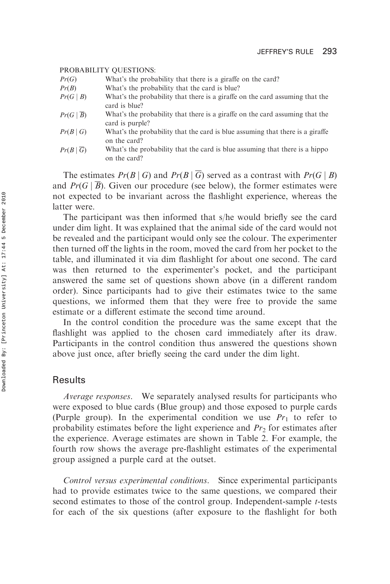#### PROBABILITY QUESTIONS:

- $Pr(G)$  What's the probability that there is a giraffe on the card?
- $Pr(B)$  What's the probability that the card is blue?
- $Pr(G | B)$  What's the probability that there is a giraffe on the card assuming that the card is blue?
- $Pr(G \mid \overline{B})$  What's the probability that there is a giraffe on the card assuming that the card is purple?
- $Pr(B|G)$  What's the probability that the card is blue assuming that there is a giraffe on the card?
- $Pr(B | \overline{G})$  What's the probability that the card is blue assuming that there is a hippo on the card?

The estimates  $Pr(B \mid G)$  and  $Pr(B \mid \overline{G})$  served as a contrast with  $Pr(G \mid B)$ and  $Pr(G | \overline{B})$ . Given our procedure (see below), the former estimates were not expected to be invariant across the flashlight experience, whereas the latter were.

The participant was then informed that s/he would briefly see the card under dim light. It was explained that the animal side of the card would not be revealed and the participant would only see the colour. The experimenter then turned off the lights in the room, moved the card from her pocket to the table, and illuminated it via dim flashlight for about one second. The card was then returned to the experimenter's pocket, and the participant answered the same set of questions shown above (in a different random order). Since participants had to give their estimates twice to the same questions, we informed them that they were free to provide the same estimate or a different estimate the second time around.

In the control condition the procedure was the same except that the flashlight was applied to the chosen card immediately after its draw. Participants in the control condition thus answered the questions shown above just once, after briefly seeing the card under the dim light.

## **Results**

Average responses. We separately analysed results for participants who were exposed to blue cards (Blue group) and those exposed to purple cards (Purple group). In the experimental condition we use  $Pr_1$  to refer to probability estimates before the light experience and  $Pr<sub>2</sub>$  for estimates after the experience. Average estimates are shown in Table 2. For example, the fourth row shows the average pre-flashlight estimates of the experimental group assigned a purple card at the outset.

Control versus experimental conditions. Since experimental participants had to provide estimates twice to the same questions, we compared their second estimates to those of the control group. Independent-sample *t*-tests for each of the six questions (after exposure to the flashlight for both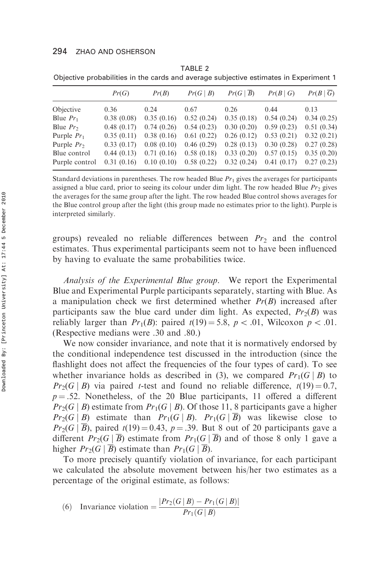|                | Pr(G)      | Pr(B)      | Pr(G   B)                 | Pr(G   B)  | Pr(B G)    | Pr(B G)    |
|----------------|------------|------------|---------------------------|------------|------------|------------|
| Objective      | 0.36       | 0.24       | 0.67                      | 0.26       | 0.44       | 0.13       |
| Blue $Pr_1$    | 0.38(0.08) | 0.35(0.16) | 0.52(0.24)                | 0.35(0.18) | 0.54(0.24) | 0.34(0.25) |
| Blue $Pr_2$    | 0.48(0.17) | 0.74(0.26) | 0.54(0.23)                | 0.30(0.20) | 0.59(0.23) | 0.51(0.34) |
| Purple $Pr_1$  | 0.35(0.11) | 0.38(0.16) | 0.61(0.22)                | 0.26(0.12) | 0.53(0.21) | 0.32(0.21) |
| Purple $Pr_2$  | 0.33(0.17) | 0.08(0.10) | 0.46(0.29)                | 0.28(0.13) | 0.30(0.28) | 0.27(0.28) |
| Blue control   | 0.44(0.13) | 0.71(0.16) | 0.58(0.18)                | 0.33(0.20) | 0.57(0.15) | 0.35(0.20) |
| Purple control | 0.31(0.16) |            | $0.10(0.10)$ $0.58(0.22)$ | 0.32(0.24) | 0.41(0.17) | 0.27(0.23) |
|                |            |            |                           |            |            |            |

TABLE 2 Objective probabilities in the cards and average subjective estimates in Experiment 1

Standard deviations in parentheses. The row headed Blue  $Pr_1$  gives the averages for participants assigned a blue card, prior to seeing its colour under dim light. The row headed Blue  $Pr<sub>2</sub>$  gives the averages for the same group after the light. The row headed Blue control shows averages for the Blue control group after the light (this group made no estimates prior to the light). Purple is interpreted similarly.

groups) revealed no reliable differences between  $Pr<sub>2</sub>$  and the control estimates. Thus experimental participants seem not to have been influenced by having to evaluate the same probabilities twice.

Analysis of the Experimental Blue group. We report the Experimental Blue and Experimental Purple participants separately, starting with Blue. As a manipulation check we first determined whether  $Pr(B)$  increased after participants saw the blue card under dim light. As expected,  $Pr_2(B)$  was reliably larger than  $Pr_1(B)$ : paired  $t(19) = 5.8$ ,  $p < .01$ , Wilcoxon  $p < .01$ . (Respective medians were .30 and .80.)

We now consider invariance, and note that it is normatively endorsed by the conditional independence test discussed in the introduction (since the flashlight does not affect the frequencies of the four types of card). To see whether invariance holds as described in (3), we compared  $Pr(G | B)$  to  $Pr_2(G \mid B)$  via paired *t*-test and found no reliable difference,  $t(19) = 0.7$ ,  $p = .52$ . Nonetheless, of the 20 Blue participants, 11 offered a different  $Pr_2(G | B)$  estimate from  $Pr_1(G | B)$ . Of those 11, 8 participants gave a higher  $Pr_2(G \mid B)$  estimate than  $Pr_1(G \mid B)$ .  $Pr_1(G \mid \overline{B})$  was likewise close to  $Pr_2(G \mid \overline{B})$ , paired  $t(19) = 0.43$ ,  $p = .39$ . But 8 out of 20 participants gave a different  $Pr_2(G | \overline{B})$  estimate from  $Pr_1(G | \overline{B})$  and of those 8 only 1 gave a higher  $Pr_2(G | \overline{B})$  estimate than  $Pr_1(G | \overline{B})$ .

To more precisely quantify violation of invariance, for each participant we calculated the absolute movement between his/her two estimates as a percentage of the original estimate, as follows:

(6) Invariance violation = 
$$
\frac{|Pr_2(G | B) - Pr_1(G | B)|}{Pr_1(G | B)}
$$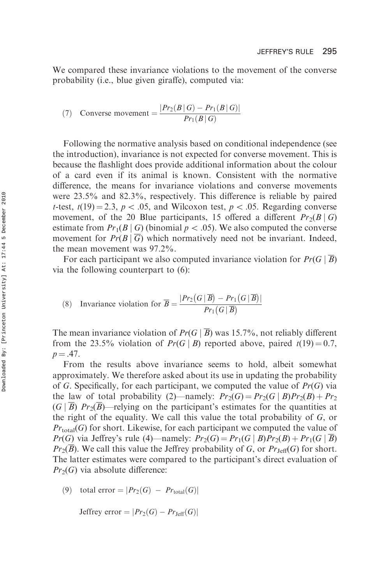We compared these invariance violations to the movement of the converse probability (i.e., blue given giraffe), computed via:

(7) Converse movement = 
$$
\frac{|Pr_2(B|G) - Pr_1(B|G)|}{Pr_1(B|G)}
$$

Following the normative analysis based on conditional independence (see the introduction), invariance is not expected for converse movement. This is because the flashlight does provide additional information about the colour of a card even if its animal is known. Consistent with the normative difference, the means for invariance violations and converse movements were 23.5% and 82.3%, respectively. This difference is reliable by paired t-test,  $t(19) = 2.3$ ,  $p < .05$ , and Wilcoxon test,  $p < .05$ . Regarding converse movement, of the 20 Blue participants, 15 offered a different  $Pr_2(B|G)$ estimate from  $Pr_1(B \mid G)$  (binomial  $p < .05$ ). We also computed the converse movement for  $Pr(B | \overline{G})$  which normatively need not be invariant. Indeed, the mean movement was 97.2%.

For each participant we also computed invariance violation for  $Pr(G | \overline{B})$ via the following counterpart to (6):

(8) Invariance violation for 
$$
\overline{B} = \frac{|Pr_2(G | \overline{B}) - Pr_1(G | \overline{B})|}{Pr_1(G | \overline{B})}
$$

The mean invariance violation of  $Pr(G | \overline{B})$  was 15.7%, not reliably different from the 23.5% violation of  $Pr(G | B)$  reported above, paired  $t(19) = 0.7$ ,  $p = .47$ .

From the results above invariance seems to hold, albeit somewhat approximately. We therefore asked about its use in updating the probability of G. Specifically, for each participant, we computed the value of  $Pr(G)$  via the law of total probability (2)—namely:  $Pr_2(G) = Pr_2(G | B)Pr_2(B) + Pr_2$  $(G | B)$  Pr<sub>2</sub>(B)—relying on the participant's estimates for the quantities at the right of the equality. We call this value the total probability of G, or  $Pr_{total}(G)$  for short. Likewise, for each participant we computed the value of  $Pr(G)$  via Jeffrey's rule (4)—namely:  $Pr_2(G) = Pr_1(G | B)Pr_2(B) + Pr_1(G | B)$  $Pr_2(B)$ . We call this value the Jeffrey probability of G, or  $Pr_{\text{Jeff}}(G)$  for short. The latter estimates were compared to the participant's direct evaluation of  $Pr_2(G)$  via absolute difference:

(9) total error =  $|Pr_2(G) - Pr_{total}(G)|$ 

Jeffrey error =  $|Pr_2(G) - Pr_{\text{Jeff}}(G)|$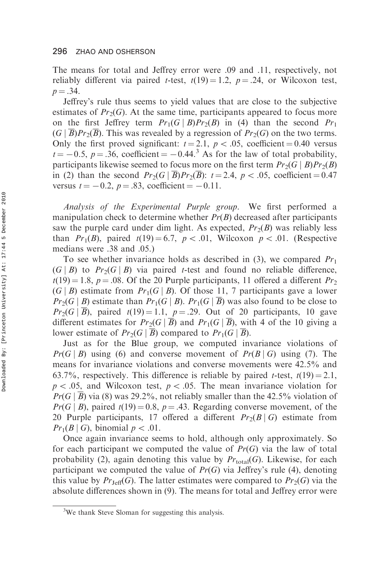The means for total and Jeffrey error were .09 and .11, respectively, not reliably different via paired *t*-test,  $t(19) = 1.2$ ,  $p = .24$ , or Wilcoxon test,  $p = .34.$ 

Jeffrey's rule thus seems to yield values that are close to the subjective estimates of  $Pr_2(G)$ . At the same time, participants appeared to focus more on the first Jeffrey term  $Pr_1(G | B)Pr_2(B)$  in (4) than the second  $Pr_1$  $(G | \overline{B}$  $Pr_2(\overline{B})$ . This was revealed by a regression of  $Pr_2(G)$  on the two terms. Only the first proved significant:  $t = 2.1$ ,  $p < .05$ , coefficient = 0.40 versus  $t = -0.5$ ,  $p = .36$ , coefficient  $= -0.44$ .<sup>3</sup> As for the law of total probability, participants likewise seemed to focus more on the first term  $Pr_2(G \mid B)Pr_2(B)$ in (2) than the second  $Pr_2(G | B)Pr_2(B)$ :  $t = 2.4$ ,  $p < .05$ , coefficient = 0.47 versus  $t = -0.2$ ,  $p = .83$ , coefficient  $= -0.11$ .

Analysis of the Experimental Purple group. We first performed a manipulation check to determine whether  $Pr(B)$  decreased after participants saw the purple card under dim light. As expected,  $Pr<sub>2</sub>(B)$  was reliably less than  $Pr_1(B)$ , paired  $t(19) = 6.7$ ,  $p < .01$ , Wilcoxon  $p < .01$ . (Respective medians were .38 and .05.)

To see whether invariance holds as described in (3), we compared  $Pr_1$  $(G | B)$  to  $Pr_2(G | B)$  via paired t-test and found no reliable difference,  $t(19) = 1.8$ ,  $p = .08$ . Of the 20 Purple participants, 11 offered a different Pr<sub>2</sub>  $(G | B)$  estimate from  $Pr(G | B)$ . Of those 11, 7 participants gave a lower  $Pr_2(G | B)$  estimate than  $Pr_1(G | B)$ .  $Pr_1(G | \overline{B})$  was also found to be close to  $Pr_2(G \mid \overline{B})$ , paired  $t(19) = 1.1$ ,  $p = .29$ . Out of 20 participants, 10 gave different estimates for  $Pr_2(G | \overline{B})$  and  $Pr_1(G | \overline{B})$ , with 4 of the 10 giving a lower estimate of  $Pr_2(G \mid B)$  compared to  $Pr_1(G \mid B)$ .

Just as for the Blue group, we computed invariance violations of  $Pr(G | B)$  using (6) and converse movement of  $Pr(B | G)$  using (7). The means for invariance violations and converse movements were 42.5% and 63.7%, respectively. This difference is reliable by paired t-test,  $t(19) = 2.1$ ,  $p < .05$ , and Wilcoxon test,  $p < .05$ . The mean invariance violation for  $Pr(G \mid \overline{B})$  via (8) was 29.2%, not reliably smaller than the 42.5% violation of  $Pr(G | B)$ , paired  $t(19) = 0.8$ ,  $p = .43$ . Regarding converse movement, of the 20 Purple participants, 17 offered a different  $Pr_2(B|G)$  estimate from  $Pr_1(B \mid G)$ , binomial  $p < .01$ .

Once again invariance seems to hold, although only approximately. So for each participant we computed the value of  $Pr(G)$  via the law of total probability (2), again denoting this value by  $Pr_{total}(G)$ . Likewise, for each participant we computed the value of  $Pr(G)$  via Jeffrey's rule (4), denoting this value by  $Pr_{\text{Jeff}}(G)$ . The latter estimates were compared to  $Pr_2(G)$  via the absolute differences shown in (9). The means for total and Jeffrey error were

<sup>&</sup>lt;sup>3</sup>We thank Steve Sloman for suggesting this analysis.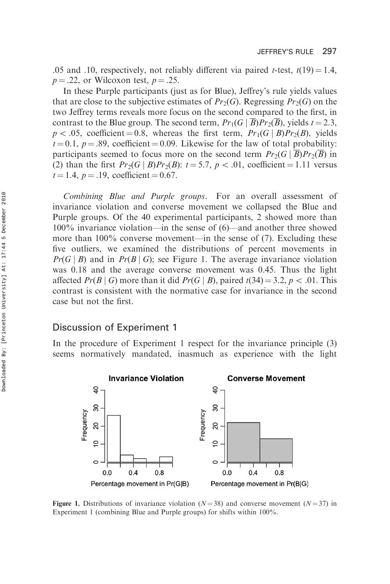.05 and .10, respectively, not reliably different via paired *t*-test,  $t(19) = 1.4$ ,  $p = .22$ , or Wilcoxon test,  $p = .25$ .

In these Purple participants (just as for Blue), Jeffrey's rule yields values that are close to the subjective estimates of  $Pr_2(G)$ . Regressing  $Pr_2(G)$  on the two Jeffrey terms reveals more focus on the second compared to the first, in contrast to the Blue group. The second term,  $Pr_1(G \mid \overline{B})Pr_2(\overline{B})$ , yields  $t = 2.3$ ,  $p < .05$ , coefficient = 0.8, whereas the first term,  $Pr_1(G \mid B)Pr_2(B)$ , yields  $t = 0.1$ ,  $p = .89$ , coefficient = 0.09. Likewise for the law of total probability: participants seemed to focus more on the second term  $Pr_2(G \mid B)Pr_2(B)$  in (2) than the first  $Pr_2(G | B)Pr_2(B)$ :  $t = 5.7$ ,  $p < .01$ , coefficient = 1.11 versus  $t = 1.4$ ,  $p = .19$ , coefficient = 0.67.

Combining Blue and Purple groups. For an overall assessment of invariance violation and converse movement we collapsed the Blue and Purple groups. Of the 40 experimental participants, 2 showed more than 100% invariance violation—in the sense of (6)—and another three showed more than 100% converse movement—in the sense of (7). Excluding these five outliers, we examined the distributions of percent movements in  $Pr(G | B)$  and in  $Pr(B | G)$ ; see Figure 1. The average invariance violation was 0.18 and the average converse movement was 0.45. Thus the light affected  $Pr(B \mid G)$  more than it did  $Pr(G \mid B)$ , paired  $t(34) = 3.2$ ,  $p < .01$ . This contrast is consistent with the normative case for invariance in the second case but not the first.

# Discussion of Experiment 1

In the procedure of Experiment 1 respect for the invariance principle (3) seems normatively mandated, inasmuch as experience with the light



**Figure 1.** Distributions of invariance violation ( $N = 38$ ) and converse movement ( $N = 37$ ) in Experiment 1 (combining Blue and Purple groups) for shifts within 100%.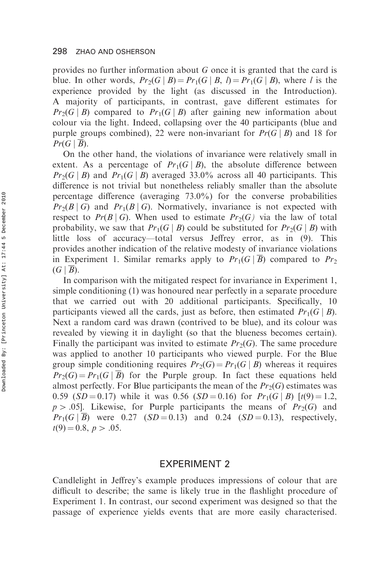provides no further information about G once it is granted that the card is blue. In other words,  $Pr_2(G | B) = Pr_1(G | B, l) = Pr_1(G | B)$ , where l is the experience provided by the light (as discussed in the Introduction). A majority of participants, in contrast, gave different estimates for  $Pr_2(G | B)$  compared to  $Pr_1(G | B)$  after gaining new information about colour via the light. Indeed, collapsing over the 40 participants (blue and purple groups combined), 22 were non-invariant for  $Pr(G \mid B)$  and 18 for  $Pr(G | B)$ .

On the other hand, the violations of invariance were relatively small in extent. As a percentage of  $Pr_1(G \mid B)$ , the absolute difference between  $Pr_2(G | B)$  and  $Pr_1(G | B)$  averaged 33.0% across all 40 participants. This difference is not trivial but nonetheless reliably smaller than the absolute percentage difference (averaging 73.0%) for the converse probabilities  $Pr_2(B \mid G)$  and  $Pr_1(B \mid G)$ . Normatively, invariance is not expected with respect to  $Pr(B|G)$ . When used to estimate  $Pr_2(G)$  via the law of total probability, we saw that  $Pr_1(G \mid B)$  could be substituted for  $Pr_2(G \mid B)$  with little loss of accuracy—total versus Jeffrey error, as in (9). This provides another indication of the relative modesty of invariance violations in Experiment 1. Similar remarks apply to  $Pr_1(G \mid \overline{B})$  compared to  $Pr_2$  $(G | \overline{B}).$ 

In comparison with the mitigated respect for invariance in Experiment 1, simple conditioning (1) was honoured near perfectly in a separate procedure that we carried out with 20 additional participants. Specifically, 10 participants viewed all the cards, just as before, then estimated  $Pr_1(G \mid B)$ . Next a random card was drawn (contrived to be blue), and its colour was revealed by viewing it in daylight (so that the blueness becomes certain). Finally the participant was invited to estimate  $Pr_2(G)$ . The same procedure was applied to another 10 participants who viewed purple. For the Blue group simple conditioning requires  $Pr_2(G) = Pr_1(G | B)$  whereas it requires  $Pr_2(G) = Pr(G | B)$  for the Purple group. In fact these equations held almost perfectly. For Blue participants the mean of the  $Pr_2(G)$  estimates was 0.59 ( $SD = 0.17$ ) while it was 0.56 ( $SD = 0.16$ ) for  $Pr_{1}(G | B)$  [t(9) = 1.2,  $p > .05$ . Likewise, for Purple participants the means of  $Pr<sub>2</sub>(G)$  and  $Pr_1(G | B)$  were 0.27 (SD = 0.13) and 0.24 (SD = 0.13), respectively,  $t(9) = 0.8, p > .05.$ 

## EXPERIMENT 2

Candlelight in Jeffrey's example produces impressions of colour that are difficult to describe; the same is likely true in the flashlight procedure of Experiment 1. In contrast, our second experiment was designed so that the passage of experience yields events that are more easily characterised.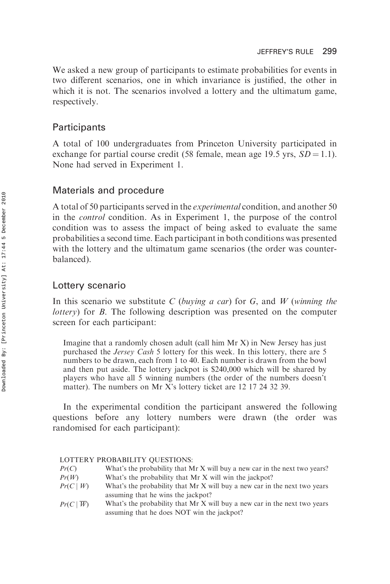We asked a new group of participants to estimate probabilities for events in two different scenarios, one in which invariance is justified, the other in which it is not. The scenarios involved a lottery and the ultimatum game, respectively.

# **Participants**

A total of 100 undergraduates from Princeton University participated in exchange for partial course credit (58 female, mean age 19.5 yrs,  $SD = 1.1$ ). None had served in Experiment 1.

# Materials and procedure

A total of 50 participants served in the experimental condition, and another 50 in the control condition. As in Experiment 1, the purpose of the control condition was to assess the impact of being asked to evaluate the same probabilities a second time. Each participant in both conditions was presented with the lottery and the ultimatum game scenarios (the order was counterbalanced).

# Lottery scenario

In this scenario we substitute C (buying a car) for G, and W (winning the lottery) for B. The following description was presented on the computer screen for each participant:

Imagine that a randomly chosen adult (call him Mr X) in New Jersey has just purchased the Jersey Cash 5 lottery for this week. In this lottery, there are 5 numbers to be drawn, each from 1 to 40. Each number is drawn from the bowl and then put aside. The lottery jackpot is \$240,000 which will be shared by players who have all 5 winning numbers (the order of the numbers doesn't matter). The numbers on Mr X's lottery ticket are 12 17 24 32 39.

In the experimental condition the participant answered the following questions before any lottery numbers were drawn (the order was randomised for each participant):

## LOTTERY PROBABILITY QUESTIONS:

- $Pr(C)$  What's the probability that Mr X will buy a new car in the next two years?  $Pr(W)$  What's the probability that Mr X will win the jackpot?
- $Pr(C | W)$  What's the probability that Mr X will buy a new car in the next two years assuming that he wins the jackpot?
- $Pr(C | \overline{W})$  What's the probability that Mr X will buy a new car in the next two years assuming that he does NOT win the jackpot?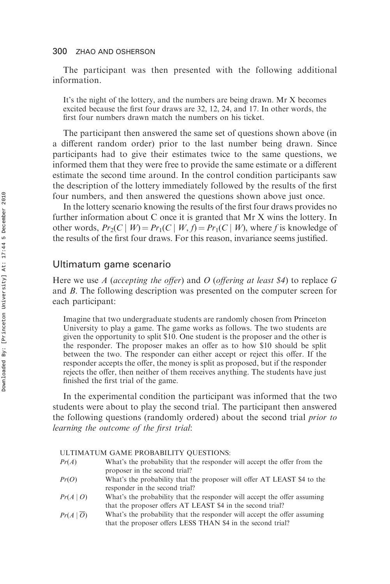The participant was then presented with the following additional information.

It's the night of the lottery, and the numbers are being drawn. Mr X becomes excited because the first four draws are 32, 12, 24, and 17. In other words, the first four numbers drawn match the numbers on his ticket.

The participant then answered the same set of questions shown above (in a different random order) prior to the last number being drawn. Since participants had to give their estimates twice to the same questions, we informed them that they were free to provide the same estimate or a different estimate the second time around. In the control condition participants saw the description of the lottery immediately followed by the results of the first four numbers, and then answered the questions shown above just once.

In the lottery scenario knowing the results of the first four draws provides no further information about C once it is granted that Mr X wins the lottery. In other words,  $Pr_2(C | W) = Pr_1(C | W, f) = Pr_1(C | W)$ , where f is knowledge of the results of the first four draws. For this reason, invariance seems justified.

## Ultimatum game scenario

Here we use A (accepting the offer) and O (offering at least \$4) to replace G and B. The following description was presented on the computer screen for each participant:

Imagine that two undergraduate students are randomly chosen from Princeton University to play a game. The game works as follows. The two students are given the opportunity to split \$10. One student is the proposer and the other is the responder. The proposer makes an offer as to how \$10 should be split between the two. The responder can either accept or reject this offer. If the responder accepts the offer, the money is split as proposed, but if the responder rejects the offer, then neither of them receives anything. The students have just finished the first trial of the game.

In the experimental condition the participant was informed that the two students were about to play the second trial. The participant then answered the following questions (randomly ordered) about the second trial prior to learning the outcome of the first trial:

#### ULTIMATUM GAME PROBABILITY QUESTIONS:

- $Pr(A)$  What's the probability that the responder will accept the offer from the proposer in the second trial?
- $Pr(O)$  What's the probability that the proposer will offer AT LEAST \$4 to the responder in the second trial?
- $Pr(A | O)$  What's the probability that the responder will accept the offer assuming that the proposer offers AT LEAST \$4 in the second trial?
- $Pr(A | \overline{O})$  What's the probability that the responder will accept the offer assuming that the proposer offers LESS THAN \$4 in the second trial?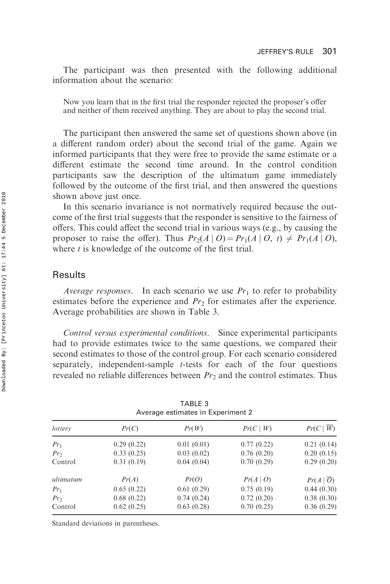The participant was then presented with the following additional information about the scenario:

Now you learn that in the first trial the responder rejected the proposer's offer and neither of them received anything. They are about to play the second trial.

The participant then answered the same set of questions shown above (in a different random order) about the second trial of the game. Again we informed participants that they were free to provide the same estimate or a different estimate the second time around. In the control condition participants saw the description of the ultimatum game immediately followed by the outcome of the first trial, and then answered the questions shown above just once.

In this scenario invariance is not normatively required because the outcome of the first trial suggests that the responder is sensitive to the fairness of offers. This could affect the second trial in various ways (e.g., by causing the proposer to raise the offer). Thus  $Pr_2(A | O) = Pr_1(A | O, t) \neq Pr_1(A | O)$ , where  $t$  is knowledge of the outcome of the first trial.

# **Results**

*Average responses.* In each scenario we use  $Pr_1$  to refer to probability estimates before the experience and  $Pr<sub>2</sub>$  for estimates after the experience. Average probabilities are shown in Table 3.

Control versus experimental conditions. Since experimental participants had to provide estimates twice to the same questions, we compared their second estimates to those of the control group. For each scenario considered separately, independent-sample t-tests for each of the four questions revealed no reliable differences between  $Pr<sub>2</sub>$  and the control estimates. Thus

| Average estimates in Experiment 2 |            |            |            |                        |
|-----------------------------------|------------|------------|------------|------------------------|
| lottery                           | Pr(C)      | Pr(W)      | Pr(C   W)  | $Pr(C   \overline{W})$ |
| $Pr_1$                            | 0.29(0.22) | 0.01(0.01) | 0.77(0.22) | 0.21(0.14)             |
| $Pr_2$                            | 0.33(0.25) | 0.03(0.02) | 0.76(0.20) | 0.20(0.15)             |
| Control                           | 0.31(0.19) | 0.04(0.04) | 0.70(0.29) | 0.29(0.20)             |
| ultimatum                         | Pr(A)      | Pr(O)      | Pr(A   O)  | $Pr(A   \overline{O})$ |
| $Pr_1$                            | 0.65(0.22) | 0.61(0.29) | 0.75(0.19) | 0.44(0.30)             |
| $Pr_2$                            | 0.68(0.22) | 0.74(0.24) | 0.72(0.20) | 0.38(0.30)             |
| Control                           | 0.62(0.25) | 0.63(0.28) | 0.70(0.25) | 0.36(0.29)             |

| TABLE 3 |  |  |                                   |  |
|---------|--|--|-----------------------------------|--|
|         |  |  | Average estimates in Experiment 2 |  |

Standard deviations in parentheses.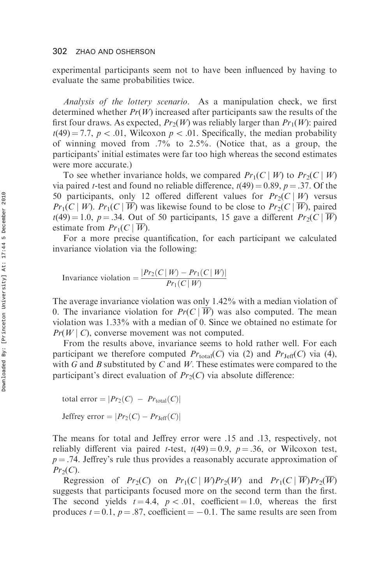experimental participants seem not to have been influenced by having to evaluate the same probabilities twice.

Analysis of the lottery scenario. As a manipulation check, we first determined whether  $Pr(W)$  increased after participants saw the results of the first four draws. As expected,  $Pr_2(W)$  was reliably larger than  $Pr_1(W)$ : paired  $t(49) = 7.7$ ,  $p < .01$ , Wilcoxon  $p < .01$ . Specifically, the median probability of winning moved from  $.7\%$  to  $2.5\%$ . (Notice that, as a group, the participants' initial estimates were far too high whereas the second estimates were more accurate.)

To see whether invariance holds, we compared  $Pr_1(C | W)$  to  $Pr_2(C | W)$ via paired *t*-test and found no reliable difference,  $t(49) = 0.89$ ,  $p = .37$ . Of the 50 participants, only 12 offered different values for  $Pr_2(C | W)$  versus  $Pr_1(C | W)$ .  $Pr_1(C | W)$  was likewise found to be close to  $Pr_2(C | W)$ , paired  $t(49) = 1.0$ ,  $p = .34$ . Out of 50 participants, 15 gave a different  $Pr_2(C | W)$ estimate from  $Pr_1(C | \overline{W})$ .

For a more precise quantification, for each participant we calculated invariance violation via the following:

Invariance violation = 
$$
\frac{|Pr_2(C|W) - Pr_1(C|W)|}{Pr_1(C|W)}
$$

The average invariance violation was only 1.42% with a median violation of 0. The invariance violation for  $Pr(C | \overline{W})$  was also computed. The mean violation was 1.33% with a median of 0. Since we obtained no estimate for  $Pr(W | C)$ , converse movement was not computed.

From the results above, invariance seems to hold rather well. For each participant we therefore computed  $Pr_{total}(C)$  via (2) and  $Pr_{\text{Jeff}}(C)$  via (4), with G and B substituted by C and W. These estimates were compared to the participant's direct evaluation of  $Pr_2(C)$  via absolute difference:

```
total error = |Pr_2(C) - Pr_{total}(C)|Jeffrey error = |Pr_2(C) - Pr_{\text{Jeff}}(C)|
```
The means for total and Jeffrey error were .15 and .13, respectively, not reliably different via paired *t*-test,  $t(49) = 0.9$ ,  $p = .36$ , or Wilcoxon test,  $p = .74$ . Jeffrey's rule thus provides a reasonably accurate approximation of  $Pr_2(C)$ .

Regression of  $Pr_2(C)$  on  $Pr_1(C | W)Pr_2(W)$  and  $Pr_1(C | W)Pr_2(W)$ suggests that participants focused more on the second term than the first. The second yields  $t = 4.4$ ,  $p < .01$ , coefficient = 1.0, whereas the first produces  $t = 0.1$ ,  $p = .87$ , coefficient  $= -0.1$ . The same results are seen from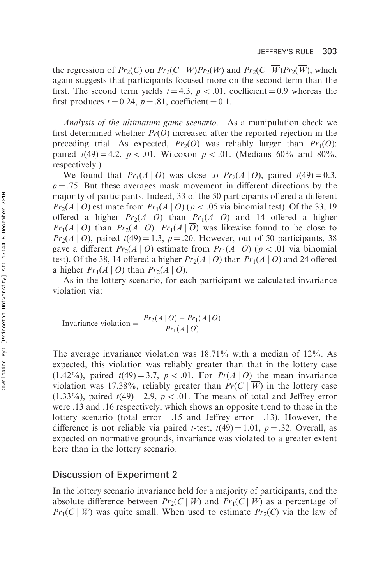the regression of  $Pr_2(C)$  on  $Pr_2(C | W)Pr_2(W)$  and  $Pr_2(C | \overline{W})Pr_2(\overline{W})$ , which again suggests that participants focused more on the second term than the first. The second term yields  $t = 4.3$ ,  $p < .01$ , coefficient = 0.9 whereas the first produces  $t = 0.24$ ,  $p = .81$ , coefficient  $= 0.1$ .

Analysis of the ultimatum game scenario. As a manipulation check we first determined whether  $Pr(O)$  increased after the reported rejection in the preceding trial. As expected,  $Pr_2(O)$  was reliably larger than  $Pr_1(O)$ : paired  $t(49) = 4.2$ ,  $p < .01$ , Wilcoxon  $p < .01$ . (Medians 60% and 80%, respectively.)

We found that  $Pr_1(A | O)$  was close to  $Pr_2(A | O)$ , paired  $t(49)=0.3$ ,  $p = .75$ . But these averages mask movement in different directions by the majority of participants. Indeed, 33 of the 50 participants offered a different  $Pr_2(A | O)$  estimate from  $Pr_1(A | O)$  ( $p < .05$  via binomial test). Of the 33, 19 offered a higher  $Pr_2(A | O)$  than  $Pr_1(A | O)$  and 14 offered a higher  $Pr_1(A | O)$  than  $Pr_2(A | O)$ .  $Pr_1(A | \overline{O})$  was likewise found to be close to  $Pr_2(A | \overline{O})$ , paired  $t(49) = 1.3$ ,  $p = .20$ . However, out of 50 participants, 38 gave a different  $Pr_2(A | \overline{O})$  estimate from  $Pr_1(A | \overline{O})$  ( $p < .01$  via binomial test). Of the 38, 14 offered a higher  $Pr_2(A | \overline{O})$  than  $Pr_1(A | \overline{O})$  and 24 offered a higher  $Pr_1(A | \overline{O})$  than  $Pr_2(A | \overline{O})$ .

As in the lottery scenario, for each participant we calculated invariance violation via:

Invariance violation = 
$$
\frac{|Pr_2(A | O) - Pr_1(A | O)|}{Pr_1(A | O)}
$$

The average invariance violation was 18.71% with a median of 12%. As expected, this violation was reliably greater than that in the lottery case  $(1.42\%)$ , paired  $t(49) = 3.7$ ,  $p < .01$ . For  $Pr(A | O)$  the mean invariance violation was 17.38%, reliably greater than  $Pr(C | \overline{W})$  in the lottery case (1.33%), paired  $t(49) = 2.9$ ,  $p < .01$ . The means of total and Jeffrey error were .13 and .16 respectively, which shows an opposite trend to those in the lottery scenario (total error  $= .15$  and Jeffrey error  $= .13$ ). However, the difference is not reliable via paired *t*-test,  $t(49) = 1.01$ ,  $p = .32$ . Overall, as expected on normative grounds, invariance was violated to a greater extent here than in the lottery scenario.

# Discussion of Experiment 2

In the lottery scenario invariance held for a majority of participants, and the absolute difference between  $Pr_2(C | W)$  and  $Pr_1(C | W)$  as a percentage of  $Pr_1(C | W)$  was quite small. When used to estimate  $Pr_2(C)$  via the law of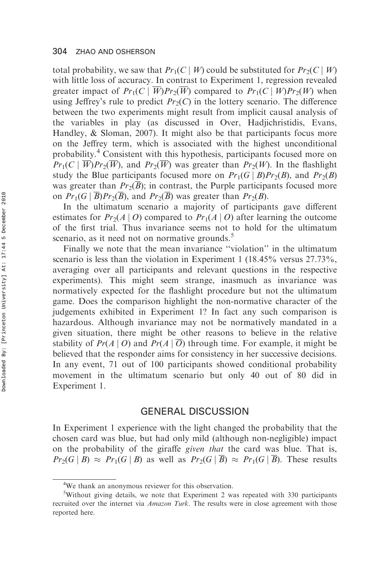total probability, we saw that  $Pr_1(C | W)$  could be substituted for  $Pr_2(C | W)$ with little loss of accuracy. In contrast to Experiment 1, regression revealed greater impact of  $Pr_1(C | \overline{W})Pr_2(\overline{W})$  compared to  $Pr_1(C | W)Pr_2(W)$  when using Jeffrey's rule to predict  $Pr_2(C)$  in the lottery scenario. The difference between the two experiments might result from implicit causal analysis of the variables in play (as discussed in Over, Hadjichristidis, Evans, Handley, & Sloman, 2007). It might also be that participants focus more on the Jeffrey term, which is associated with the highest unconditional probability.<sup>4</sup> Consistent with this hypothesis, participants focused more on  $Pr_1(C | \overline{W})Pr_2(\overline{W})$ , and  $Pr_2(\overline{W})$  was greater than  $Pr_2(W)$ . In the flashlight study the Blue participants focused more on  $Pr_1(G | B)Pr_2(B)$ , and  $Pr_2(B)$ was greater than  $Pr_2(\overline{B})$ ; in contrast, the Purple participants focused more on  $Pr_1(G \mid \overline{B})Pr_2(\overline{B})$ , and  $Pr_2(\overline{B})$  was greater than  $Pr_2(B)$ .

In the ultimatum scenario a majority of participants gave different estimates for  $Pr_2(A | O)$  compared to  $Pr_1(A | O)$  after learning the outcome of the first trial. Thus invariance seems not to hold for the ultimatum scenario, as it need not on normative grounds.<sup>5</sup>

Finally we note that the mean invariance ''violation'' in the ultimatum scenario is less than the violation in Experiment 1 (18.45% versus  $27.73\%$ , averaging over all participants and relevant questions in the respective experiments). This might seem strange, inasmuch as invariance was normatively expected for the flashlight procedure but not the ultimatum game. Does the comparison highlight the non-normative character of the judgements exhibited in Experiment 1? In fact any such comparison is hazardous. Although invariance may not be normatively mandated in a given situation, there might be other reasons to believe in the relative stability of  $Pr(A | O)$  and  $Pr(A | \overline{O})$  through time. For example, it might be believed that the responder aims for consistency in her successive decisions. In any event, 71 out of 100 participants showed conditional probability movement in the ultimatum scenario but only 40 out of 80 did in Experiment 1.

# GENERAL DISCUSSION

In Experiment 1 experience with the light changed the probability that the chosen card was blue, but had only mild (although non-negligible) impact on the probability of the giraffe given that the card was blue. That is,  $Pr_2(G | B) \approx Pr_1(G | B)$  as well as  $Pr_2(G | \overline{B}) \approx Pr_1(G | \overline{B})$ . These results

<sup>&</sup>lt;sup>4</sup>We thank an anonymous reviewer for this observation.

<sup>&</sup>lt;sup>5</sup>Without giving details, we note that Experiment 2 was repeated with 330 participants recruited over the internet via *Amazon Turk*. The results were in close agreement with those reported here.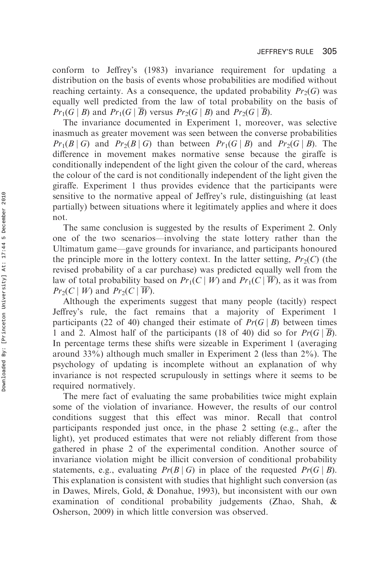conform to Jeffrey's (1983) invariance requirement for updating a distribution on the basis of events whose probabilities are modified without reaching certainty. As a consequence, the updated probability  $Pr_2(G)$  was equally well predicted from the law of total probability on the basis of  $Pr_1(G \mid B)$  and  $Pr_1(G \mid \overline{B})$  versus  $Pr_2(G \mid B)$  and  $Pr_2(G \mid \overline{B})$ .

The invariance documented in Experiment 1, moreover, was selective inasmuch as greater movement was seen between the converse probabilities  $Pr_1(B \mid G)$  and  $Pr_2(B \mid G)$  than between  $Pr_1(G \mid B)$  and  $Pr_2(G \mid B)$ . The difference in movement makes normative sense because the giraffe is conditionally independent of the light given the colour of the card, whereas the colour of the card is not conditionally independent of the light given the giraffe. Experiment 1 thus provides evidence that the participants were sensitive to the normative appeal of Jeffrey's rule, distinguishing (at least partially) between situations where it legitimately applies and where it does not.

The same conclusion is suggested by the results of Experiment 2. Only one of the two scenarios—involving the state lottery rather than the Ultimatum game—gave grounds for invariance, and participants honoured the principle more in the lottery context. In the latter setting,  $Pr_2(C)$  (the revised probability of a car purchase) was predicted equally well from the law of total probability based on  $Pr_1(C | W)$  and  $Pr_1(C | \overline{W})$ , as it was from  $Pr_2(C \mid W)$  and  $Pr_2(C \mid \overline{W})$ .

Although the experiments suggest that many people (tacitly) respect Jeffrey's rule, the fact remains that a majority of Experiment 1 participants (22 of 40) changed their estimate of  $Pr(G \mid B)$  between times 1 and 2. Almost half of the participants (18 of 40) did so for  $Pr(G | B)$ . In percentage terms these shifts were sizeable in Experiment 1 (averaging around 33%) although much smaller in Experiment 2 (less than 2%). The psychology of updating is incomplete without an explanation of why invariance is not respected scrupulously in settings where it seems to be required normatively.

The mere fact of evaluating the same probabilities twice might explain some of the violation of invariance. However, the results of our control conditions suggest that this effect was minor. Recall that control participants responded just once, in the phase 2 setting (e.g., after the light), yet produced estimates that were not reliably different from those gathered in phase 2 of the experimental condition. Another source of invariance violation might be illicit conversion of conditional probability statements, e.g., evaluating  $Pr(B \mid G)$  in place of the requested  $Pr(G \mid B)$ . This explanation is consistent with studies that highlight such conversion (as in Dawes, Mirels, Gold, & Donahue, 1993), but inconsistent with our own examination of conditional probability judgements (Zhao, Shah, & Osherson, 2009) in which little conversion was observed.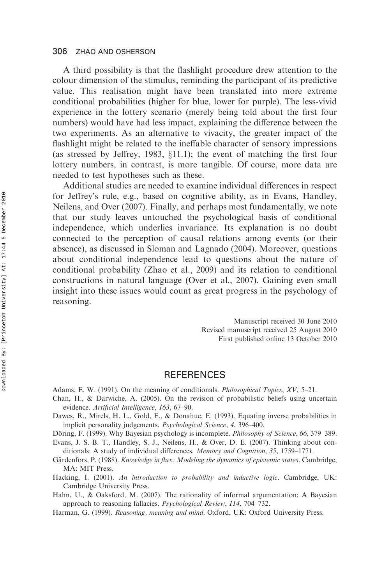A third possibility is that the flashlight procedure drew attention to the colour dimension of the stimulus, reminding the participant of its predictive value. This realisation might have been translated into more extreme conditional probabilities (higher for blue, lower for purple). The less-vivid experience in the lottery scenario (merely being told about the first four numbers) would have had less impact, explaining the difference between the two experiments. As an alternative to vivacity, the greater impact of the flashlight might be related to the ineffable character of sensory impressions (as stressed by Jeffrey, 1983,  $\S11.1$ ); the event of matching the first four lottery numbers, in contrast, is more tangible. Of course, more data are needed to test hypotheses such as these.

Additional studies are needed to examine individual differences in respect for Jeffrey's rule, e.g., based on cognitive ability, as in Evans, Handley, Neilens, and Over (2007). Finally, and perhaps most fundamentally, we note that our study leaves untouched the psychological basis of conditional independence, which underlies invariance. Its explanation is no doubt connected to the perception of causal relations among events (or their absence), as discussed in Sloman and Lagnado (2004). Moreover, questions about conditional independence lead to questions about the nature of conditional probability (Zhao et al., 2009) and its relation to conditional constructions in natural language (Over et al., 2007). Gaining even small insight into these issues would count as great progress in the psychology of reasoning.

> Manuscript received 30 June 2010 Revised manuscript received 25 August 2010 First published online 13 October 2010

# **REFERENCES**

Adams, E. W. (1991). On the meaning of conditionals. Philosophical Topics, XV, 5–21.

- Chan, H., & Darwiche, A. (2005). On the revision of probabilistic beliefs using uncertain evidence. Artificial Intelligence, 163, 67–90.
- Dawes, R., Mirels, H. L., Gold, E., & Donahue, E. (1993). Equating inverse probabilities in implicit personality judgements. Psychological Science, 4, 396–400.

Döring, F. (1999). Why Bayesian psychology is incomplete. *Philosophy of Science*, 66, 379–389.

Evans, J. S. B. T., Handley, S. J., Neilens, H., & Over, D. E. (2007). Thinking about conditionals: A study of individual differences. Memory and Cognition, 35, 1759–1771.

Gärdenfors, P. (1988). Knowledge in flux: Modeling the dynamics of epistemic states. Cambridge, MA: MIT Press.

Hacking, I. (2001). An introduction to probability and inductive logic. Cambridge, UK: Cambridge University Press.

Hahn, U., & Oaksford, M. (2007). The rationality of informal argumentation: A Bayesian approach to reasoning fallacies. Psychological Review, 114, 704–732.

Harman, G. (1999). Reasoning, meaning and mind. Oxford, UK: Oxford University Press.